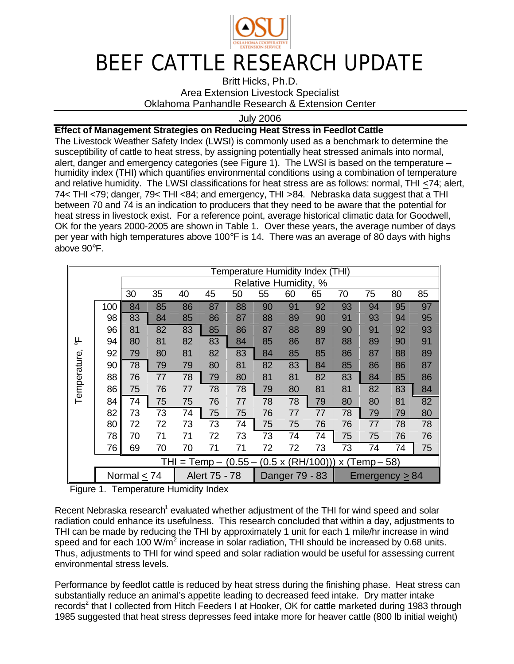

## BEEF CATTLE RESEARCH UPDATE

Britt Hicks, Ph.D. Area Extension Livestock Specialist

Oklahoma Panhandle Research & Extension Center

July 2006

## **Effect of Management Strategies on Reducing Heat Stress in Feedlot Cattle**

The Livestock Weather Safety Index (LWSI) is commonly used as a benchmark to determine the susceptibility of cattle to heat stress, by assigning potentially heat stressed animals into normal, alert, danger and emergency categories (see Figure 1). The LWSI is based on the temperature – humidity index (THI) which quantifies environmental conditions using a combination of temperature and relative humidity. The LWSI classifications for heat stress are as follows: normal, THI <74; alert, 74< THI <79; danger, 79< THI <84; and emergency, THI >84. Nebraska data suggest that a THI between 70 and 74 is an indication to producers that they need to be aware that the potential for heat stress in livestock exist. For a reference point, average historical climatic data for Goodwell, OK for the years 2000-2005 are shown in Table 1. Over these years, the average number of days per year with high temperatures above 100°F is 14. There was an average of 80 days with highs above 90°F.

|                          |                            |    |               |    |    |                | Temperature Humidity Index (THI) |                          |                   |                 |    |    |    |
|--------------------------|----------------------------|----|---------------|----|----|----------------|----------------------------------|--------------------------|-------------------|-----------------|----|----|----|
|                          | Relative Humidity,<br>$\%$ |    |               |    |    |                |                                  |                          |                   |                 |    |    |    |
|                          |                            | 30 | 35            | 40 | 45 | 50             | 55                               | 60                       | 65                | 70              | 75 | 80 | 85 |
|                          | 100                        | 84 | 85            | 86 | 87 | 88             | 90                               | 91                       | 92                | 93              | 94 | 95 | 97 |
|                          | 98                         | 83 | 84            | 85 | 86 | 87             | 88                               | 89                       | 90                | 91              | 93 | 94 | 95 |
|                          | 96                         | 81 | 82            | 83 | 85 | 86             | 87                               | 88                       | 89                | 90              | 91 | 92 | 93 |
| 부                        | 94                         | 80 | 81            | 82 | 83 | 84             | 85                               | 86                       | 87                | 88              | 89 | 90 | 91 |
|                          | 92                         | 79 | 80            | 81 | 82 | 83             | 84                               | 85                       | 85                | 86              | 87 | 88 | 89 |
|                          | 90                         | 78 | 79            | 79 | 80 | 81             | 82                               | 83                       | 84                | 85              | 86 | 86 | 87 |
|                          | 88                         | 76 | 77            | 78 | 79 | 80             | 81                               | 81                       | 82                | 83              | 84 | 85 | 86 |
| Temperature              | 86                         | 75 | 76            | 77 | 78 | 78             | 79                               | 80                       | 81                | 81              | 82 | 83 | 84 |
|                          | 84                         | 74 | 75            | 75 | 76 | 77             | 78                               | 78                       | 79                | 80              | 80 | 81 | 82 |
|                          | 82                         | 73 | 73            | 74 | 75 | 75             | 76                               | 77                       | 77                | 78              | 79 | 79 | 80 |
|                          | 80                         | 72 | 72            | 73 | 73 | 74             | 75                               | 75                       | 76                | 76              | 77 | 78 | 78 |
|                          | 78                         | 70 | 71            | 71 | 72 | 73             | 73                               | 74                       | 74                | 75              | 75 | 76 | 76 |
|                          | 76                         | 69 | 70            | 70 | 71 | 71             | 72                               | 72                       | 73                | 73              | 74 | 74 | 75 |
| THI = Temp $-$ (0.55 $-$ |                            |    |               |    |    |                |                                  | $(0.5 \times (RH/100)))$ |                   | $x$ (Temp – 58) |    |    |    |
|                          | Normal $<$ 74              |    | Alert 75 - 78 |    |    | Danger 79 - 83 |                                  |                          | $E$ mergency > 84 |                 |    |    |    |

Figure 1. Temperature Humidity Index

Recent Nebraska research<sup>1</sup> evaluated whether adjustment of the THI for wind speed and solar radiation could enhance its usefulness. This research concluded that within a day, adjustments to THI can be made by reducing the THI by approximately 1 unit for each 1 mile/hr increase in wind speed and for each 100 W/ $m^2$  increase in solar radiation, THI should be increased by 0.68 units. Thus, adjustments to THI for wind speed and solar radiation would be useful for assessing current environmental stress levels.

Performance by feedlot cattle is reduced by heat stress during the finishing phase. Heat stress can substantially reduce an animal's appetite leading to decreased feed intake. Dry matter intake records<sup>2</sup> that I collected from Hitch Feeders I at Hooker, OK for cattle marketed during 1983 through 1985 suggested that heat stress depresses feed intake more for heaver cattle (800 lb initial weight)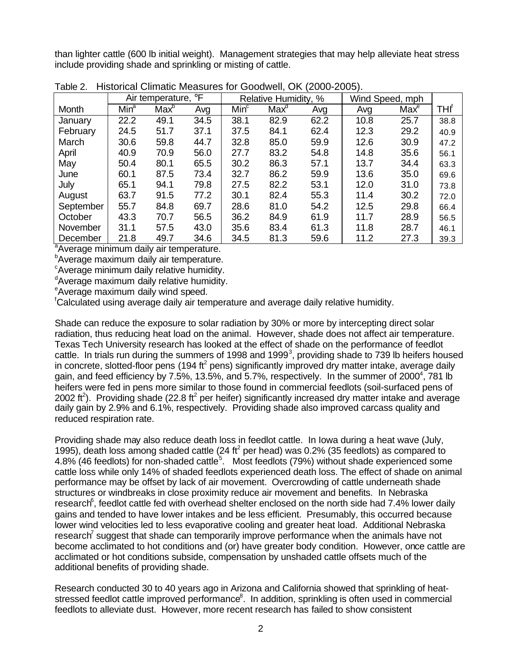than lighter cattle (600 lb initial weight). Management strategies that may help alleviate heat stress include providing shade and sprinkling or misting of cattle.

|           | Air temperature, °F |         |      |                  | Relative Humidity, % |      | Wind Speed, mph |                  |      |
|-----------|---------------------|---------|------|------------------|----------------------|------|-----------------|------------------|------|
| Month     | Min <sup>a</sup>    | $Max^b$ | Avg  | Min <sup>c</sup> | Max <sup>d</sup>     | Avg  | Avg             | Max <sup>e</sup> | THI' |
| January   | 22.2                | 49.1    | 34.5 | 38.1             | 82.9                 | 62.2 | 10.8            | 25.7             | 38.8 |
| February  | 24.5                | 51.7    | 37.1 | 37.5             | 84.1                 | 62.4 | 12.3            | 29.2             | 40.9 |
| March     | 30.6                | 59.8    | 44.7 | 32.8             | 85.0                 | 59.9 | 12.6            | 30.9             | 47.2 |
| April     | 40.9                | 70.9    | 56.0 | 27.7             | 83.2                 | 54.8 | 14.8            | 35.6             | 56.1 |
| May       | 50.4                | 80.1    | 65.5 | 30.2             | 86.3                 | 57.1 | 13.7            | 34.4             | 63.3 |
| June      | 60.1                | 87.5    | 73.4 | 32.7             | 86.2                 | 59.9 | 13.6            | 35.0             | 69.6 |
| July      | 65.1                | 94.1    | 79.8 | 27.5             | 82.2                 | 53.1 | 12.0            | 31.0             | 73.8 |
| August    | 63.7                | 91.5    | 77.2 | 30.1             | 82.4                 | 55.3 | 11.4            | 30.2             | 72.0 |
| September | 55.7                | 84.8    | 69.7 | 28.6             | 81.0                 | 54.2 | 12.5            | 29.8             | 66.4 |
| October   | 43.3                | 70.7    | 56.5 | 36.2             | 84.9                 | 61.9 | 11.7            | 28.9             | 56.5 |
| November  | 31.1                | 57.5    | 43.0 | 35.6             | 83.4                 | 61.3 | 11.8            | 28.7             | 46.1 |
| December  | 21.8                | 49.7    | 34.6 | 34.5             | 81.3                 | 59.6 | 11.2            | 27.3             | 39.3 |

Table 2. Historical Climatic Measures for Goodwell, OK (2000-2005).

<sup>a</sup>Average minimum daily air temperature.

**Average maximum daily air temperature.** 

 $\epsilon$ Average minimum daily relative humidity.

<sup>d</sup>Average maximum daily relative humidity.

<sup>e</sup>Average maximum daily wind speed.

<sup>f</sup>Calculated using average daily air temperature and average daily relative humidity.

Shade can reduce the exposure to solar radiation by 30% or more by intercepting direct solar radiation, thus reducing heat load on the animal. However, shade does not affect air temperature. Texas Tech University research has looked at the effect of shade on the performance of feedlot cattle. In trials run during the summers of 1998 and 1999<sup>3</sup>, providing shade to 739 lb heifers housed in concrete, slotted-floor pens (194 ft<sup>2</sup> pens) significantly improved dry matter intake, average daily gain, and feed efficiency by 7.5%, 13.5%, and 5.7%, respectively. In the summer of 2000<sup>4</sup>, 781 lb heifers were fed in pens more similar to those found in commercial feedlots (soil-surfaced pens of 2002 ft<sup>2</sup>). Providing shade (22.8 ft<sup>2</sup> per heifer) significantly increased dry matter intake and average daily gain by 2.9% and 6.1%, respectively. Providing shade also improved carcass quality and reduced respiration rate.

Providing shade may also reduce death loss in feedlot cattle. In Iowa during a heat wave (July, 1995), death loss among shaded cattle (24 ft<sup>2</sup> per head) was 0.2% (35 feedlots) as compared to 4.8% (46 feedlots) for non-shaded cattle<sup>5</sup>. Most feedlots (79%) without shade experienced some cattle loss while only 14% of shaded feedlots experienced death loss. The effect of shade on animal performance may be offset by lack of air movement. Overcrowding of cattle underneath shade structures or windbreaks in close proximity reduce air movement and benefits. In Nebraska research<sup>6</sup>, feedlot cattle fed with overhead shelter enclosed on the north side had 7.4% lower daily gains and tended to have lower intakes and be less efficient. Presumably, this occurred because lower wind velocities led to less evaporative cooling and greater heat load. Additional Nebraska research<sup>7</sup> suggest that shade can temporarily improve performance when the animals have not become acclimated to hot conditions and (or) have greater body condition. However, once cattle are acclimated or hot conditions subside, compensation by unshaded cattle offsets much of the additional benefits of providing shade.

Research conducted 30 to 40 years ago in Arizona and California showed that sprinkling of heatstressed feedlot cattle improved performance<sup>8</sup>. In addition, sprinkling is often used in commercial feedlots to alleviate dust. However, more recent research has failed to show consistent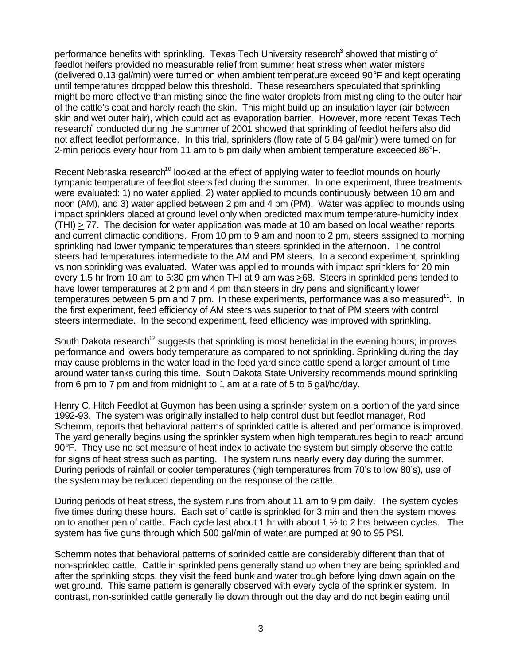performance benefits with sprinkling. Texas Tech University research<sup>3</sup> showed that misting of feedlot heifers provided no measurable relief from summer heat stress when water misters (delivered 0.13 gal/min) were turned on when ambient temperature exceed 90°F and kept operating until temperatures dropped below this threshold. These researchers speculated that sprinkling might be more effective than misting since the fine water droplets from misting cling to the outer hair of the cattle's coat and hardly reach the skin. This might build up an insulation layer (air between skin and wet outer hair), which could act as evaporation barrier. However, more recent Texas Tech research $\degree$  conducted during the summer of 2001 showed that sprinkling of feedlot heifers also did not affect feedlot performance. In this trial, sprinklers (flow rate of 5.84 gal/min) were turned on for 2-min periods every hour from 11 am to 5 pm daily when ambient temperature exceeded 86°F.

Recent Nebraska research<sup>10</sup> looked at the effect of applying water to feedlot mounds on hourly tympanic temperature of feedlot steers fed during the summer. In one experiment, three treatments were evaluated: 1) no water applied, 2) water applied to mounds continuously between 10 am and noon (AM), and 3) water applied between 2 pm and 4 pm (PM). Water was applied to mounds using impact sprinklers placed at ground level only when predicted maximum temperature-humidity index (THI) > 77. The decision for water application was made at 10 am based on local weather reports and current climactic conditions. From 10 pm to 9 am and noon to 2 pm, steers assigned to morning sprinkling had lower tympanic temperatures than steers sprinkled in the afternoon. The control steers had temperatures intermediate to the AM and PM steers. In a second experiment, sprinkling vs non sprinkling was evaluated. Water was applied to mounds with impact sprinklers for 20 min every 1.5 hr from 10 am to 5:30 pm when THI at 9 am was >68. Steers in sprinkled pens tended to have lower temperatures at 2 pm and 4 pm than steers in dry pens and significantly lower temperatures between 5 pm and 7 pm. In these experiments, performance was also measured $11$ . In the first experiment, feed efficiency of AM steers was superior to that of PM steers with control steers intermediate. In the second experiment, feed efficiency was improved with sprinkling.

South Dakota research<sup>12</sup> suggests that sprinkling is most beneficial in the evening hours; improves performance and lowers body temperature as compared to not sprinkling. Sprinkling during the day may cause problems in the water load in the feed yard since cattle spend a larger amount of time around water tanks during this time. South Dakota State University recommends mound sprinkling from 6 pm to 7 pm and from midnight to 1 am at a rate of 5 to 6 gal/hd/day.

Henry C. Hitch Feedlot at Guymon has been using a sprinkler system on a portion of the yard since 1992-93. The system was originally installed to help control dust but feedlot manager, Rod Schemm, reports that behavioral patterns of sprinkled cattle is altered and performance is improved. The yard generally begins using the sprinkler system when high temperatures begin to reach around  $90^{\circ}$  F. They use no set measure of heat index to activate the system but simply observe the cattle for signs of heat stress such as panting. The system runs nearly every day during the summer. During periods of rainfall or cooler temperatures (high temperatures from 70's to low 80's), use of the system may be reduced depending on the response of the cattle.

During periods of heat stress, the system runs from about 11 am to 9 pm daily. The system cycles five times during these hours. Each set of cattle is sprinkled for 3 min and then the system moves on to another pen of cattle. Each cycle last about 1 hr with about 1  $\frac{1}{2}$  to 2 hrs between cycles. The system has five guns through which 500 gal/min of water are pumped at 90 to 95 PSI.

Schemm notes that behavioral patterns of sprinkled cattle are considerably different than that of non-sprinkled cattle. Cattle in sprinkled pens generally stand up when they are being sprinkled and after the sprinkling stops, they visit the feed bunk and water trough before lying down again on the wet ground. This same pattern is generally observed with every cycle of the sprinkler system. In contrast, non-sprinkled cattle generally lie down through out the day and do not begin eating until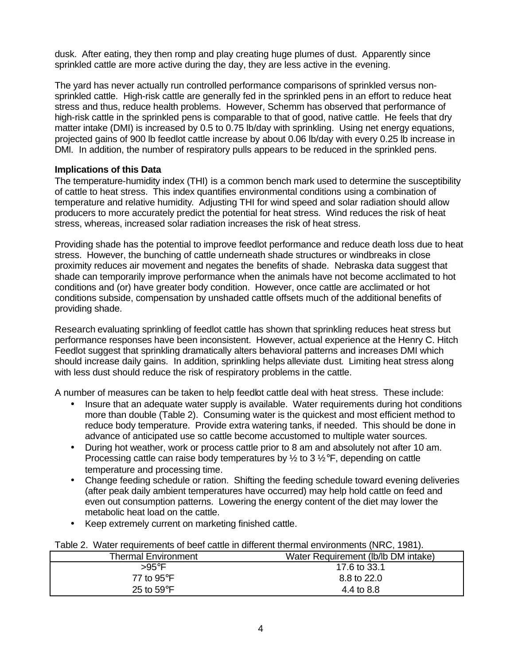dusk. After eating, they then romp and play creating huge plumes of dust. Apparently since sprinkled cattle are more active during the day, they are less active in the evening.

The yard has never actually run controlled performance comparisons of sprinkled versus nonsprinkled cattle. High-risk cattle are generally fed in the sprinkled pens in an effort to reduce heat stress and thus, reduce health problems. However, Schemm has observed that performance of high-risk cattle in the sprinkled pens is comparable to that of good, native cattle. He feels that dry matter intake (DMI) is increased by 0.5 to 0.75 lb/day with sprinkling. Using net energy equations, projected gains of 900 lb feedlot cattle increase by about 0.06 lb/day with every 0.25 lb increase in DMI. In addition, the number of respiratory pulls appears to be reduced in the sprinkled pens.

## **Implications of this Data**

The temperature-humidity index (THI) is a common bench mark used to determine the susceptibility of cattle to heat stress. This index quantifies environmental conditions using a combination of temperature and relative humidity. Adjusting THI for wind speed and solar radiation should allow producers to more accurately predict the potential for heat stress. Wind reduces the risk of heat stress, whereas, increased solar radiation increases the risk of heat stress.

Providing shade has the potential to improve feedlot performance and reduce death loss due to heat stress. However, the bunching of cattle underneath shade structures or windbreaks in close proximity reduces air movement and negates the benefits of shade. Nebraska data suggest that shade can temporarily improve performance when the animals have not become acclimated to hot conditions and (or) have greater body condition. However, once cattle are acclimated or hot conditions subside, compensation by unshaded cattle offsets much of the additional benefits of providing shade.

Research evaluating sprinkling of feedlot cattle has shown that sprinkling reduces heat stress but performance responses have been inconsistent. However, actual experience at the Henry C. Hitch Feedlot suggest that sprinkling dramatically alters behavioral patterns and increases DMI which should increase daily gains. In addition, sprinkling helps alleviate dust. Limiting heat stress along with less dust should reduce the risk of respiratory problems in the cattle.

A number of measures can be taken to help feedlot cattle deal with heat stress. These include:

- Insure that an adequate water supply is available. Water requirements during hot conditions more than double (Table 2). Consuming water is the quickest and most efficient method to reduce body temperature. Provide extra watering tanks, if needed. This should be done in advance of anticipated use so cattle become accustomed to multiple water sources.
- During hot weather, work or process cattle prior to 8 am and absolutely not after 10 am. Processing cattle can raise body temperatures by  $\frac{1}{2}$  to 3  $\frac{1}{2}$ °F, depending on cattle temperature and processing time.
- Change feeding schedule or ration. Shifting the feeding schedule toward evening deliveries (after peak daily ambient temperatures have occurred) may help hold cattle on feed and even out consumption patterns. Lowering the energy content of the diet may lower the metabolic heat load on the cattle.
- Keep extremely current on marketing finished cattle.

|  | Table 2. Water requirements of beef cattle in different thermal environments (NRC, 1981). |  |  |  |  |  |
|--|-------------------------------------------------------------------------------------------|--|--|--|--|--|
|--|-------------------------------------------------------------------------------------------|--|--|--|--|--|

| <b>Thermal Environment</b> | Water Requirement (Ib/Ib DM intake) |  |  |  |  |
|----------------------------|-------------------------------------|--|--|--|--|
| >95°F                      | 17.6 to 33.1                        |  |  |  |  |
| 77 to $95^{\circ}$ F       | 8.8 to 22.0                         |  |  |  |  |
| 25 to $59^{\circ}$ F       | 4.4 to 8.8                          |  |  |  |  |